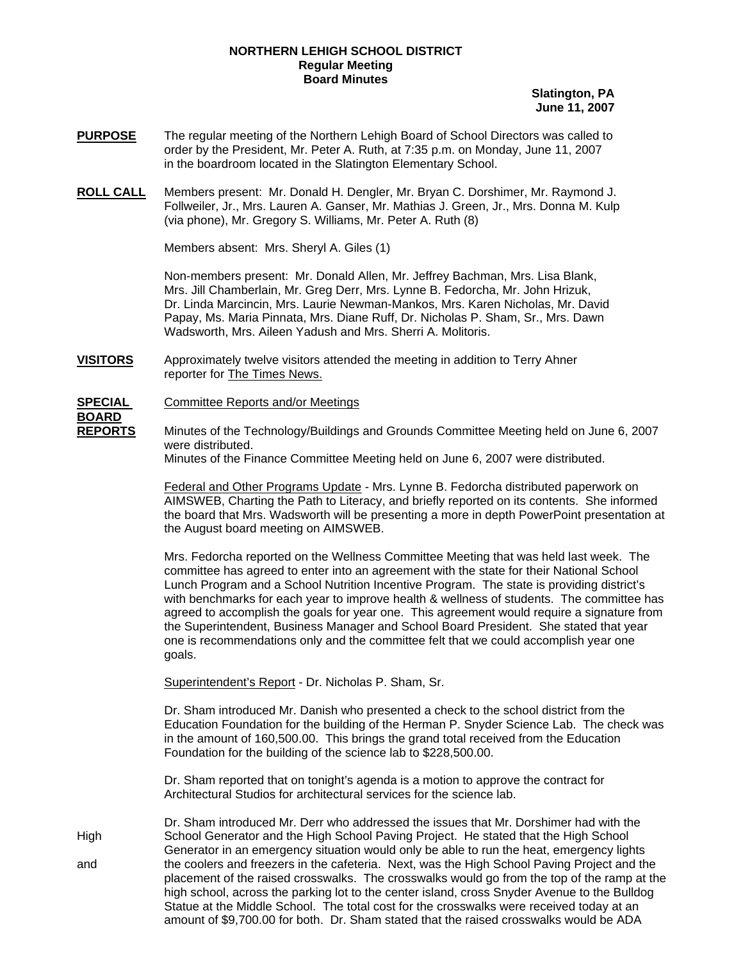### **NORTHERN LEHIGH SCHOOL DISTRICT Regular Meeting Board Minutes**

**Slatington, PA June 11, 2007**

- **PURPOSE** The regular meeting of the Northern Lehigh Board of School Directors was called to order by the President, Mr. Peter A. Ruth, at 7:35 p.m. on Monday, June 11, 2007 in the boardroom located in the Slatington Elementary School.
- **ROLL CALL** Members present: Mr. Donald H. Dengler, Mr. Bryan C. Dorshimer, Mr. Raymond J. Follweiler, Jr., Mrs. Lauren A. Ganser, Mr. Mathias J. Green, Jr., Mrs. Donna M. Kulp (via phone), Mr. Gregory S. Williams, Mr. Peter A. Ruth (8)

Members absent: Mrs. Sheryl A. Giles (1)

Non-members present: Mr. Donald Allen, Mr. Jeffrey Bachman, Mrs. Lisa Blank, Mrs. Jill Chamberlain, Mr. Greg Derr, Mrs. Lynne B. Fedorcha, Mr. John Hrizuk, Dr. Linda Marcincin, Mrs. Laurie Newman-Mankos, Mrs. Karen Nicholas, Mr. David Papay, Ms. Maria Pinnata, Mrs. Diane Ruff, Dr. Nicholas P. Sham, Sr., Mrs. Dawn Wadsworth, Mrs. Aileen Yadush and Mrs. Sherri A. Molitoris.

**VISITORS** Approximately twelve visitors attended the meeting in addition to Terry Ahner reporter for The Times News.

**SPECIAL** Committee Reports and/or Meetings

**BOARD** 

**REPORTS** Minutes of the Technology/Buildings and Grounds Committee Meeting held on June 6, 2007 were distributed.

Minutes of the Finance Committee Meeting held on June 6, 2007 were distributed.

Federal and Other Programs Update - Mrs. Lynne B. Fedorcha distributed paperwork on AIMSWEB, Charting the Path to Literacy, and briefly reported on its contents. She informed the board that Mrs. Wadsworth will be presenting a more in depth PowerPoint presentation at the August board meeting on AIMSWEB.

Mrs. Fedorcha reported on the Wellness Committee Meeting that was held last week. The committee has agreed to enter into an agreement with the state for their National School Lunch Program and a School Nutrition Incentive Program. The state is providing district's with benchmarks for each year to improve health & wellness of students. The committee has agreed to accomplish the goals for year one. This agreement would require a signature from the Superintendent, Business Manager and School Board President. She stated that year one is recommendations only and the committee felt that we could accomplish year one goals.

Superintendent's Report - Dr. Nicholas P. Sham, Sr.

Dr. Sham introduced Mr. Danish who presented a check to the school district from the Education Foundation for the building of the Herman P. Snyder Science Lab. The check was in the amount of 160,500.00. This brings the grand total received from the Education Foundation for the building of the science lab to \$228,500.00.

Dr. Sham reported that on tonight's agenda is a motion to approve the contract for Architectural Studios for architectural services for the science lab.

 Dr. Sham introduced Mr. Derr who addressed the issues that Mr. Dorshimer had with the High School Generator and the High School Paving Project. He stated that the High School Generator in an emergency situation would only be able to run the heat, emergency lights and the coolers and freezers in the cafeteria. Next, was the High School Paving Project and the placement of the raised crosswalks. The crosswalks would go from the top of the ramp at the high school, across the parking lot to the center island, cross Snyder Avenue to the Bulldog Statue at the Middle School. The total cost for the crosswalks were received today at an amount of \$9,700.00 for both. Dr. Sham stated that the raised crosswalks would be ADA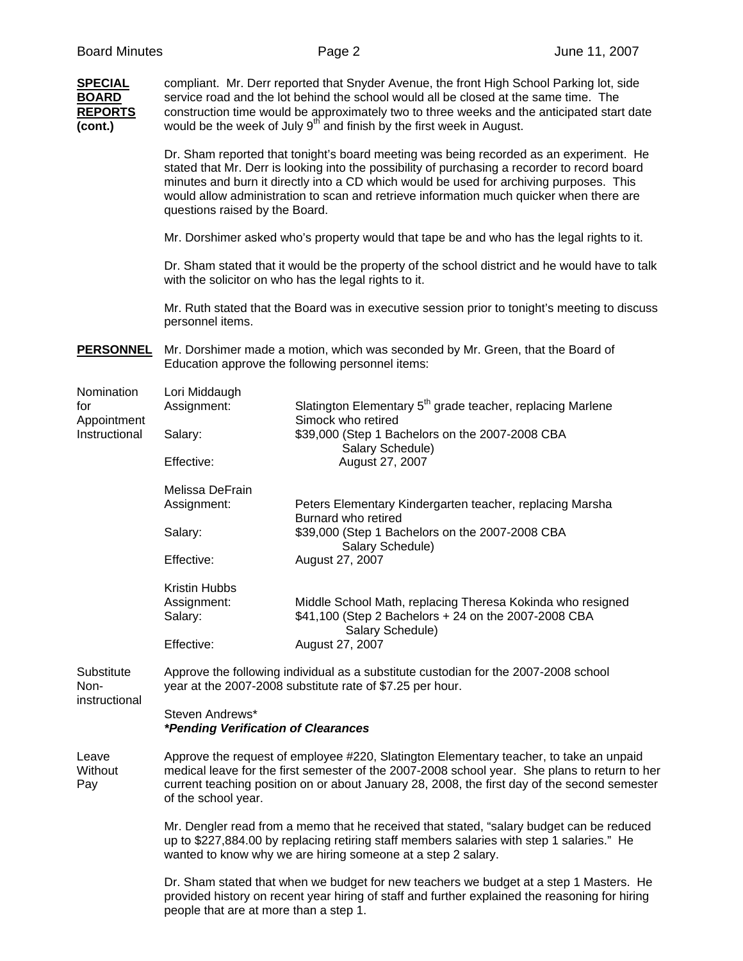| <b>SPECIAL</b><br><b>BOARD</b><br><b>REPORTS</b><br>(cont.) | compliant. Mr. Derr reported that Snyder Avenue, the front High School Parking lot, side<br>service road and the lot behind the school would all be closed at the same time. The<br>construction time would be approximately two to three weeks and the anticipated start date<br>would be the week of July 9 <sup>th</sup> and finish by the first week in August.                                             |                                                                                                                                                                                          |  |  |
|-------------------------------------------------------------|-----------------------------------------------------------------------------------------------------------------------------------------------------------------------------------------------------------------------------------------------------------------------------------------------------------------------------------------------------------------------------------------------------------------|------------------------------------------------------------------------------------------------------------------------------------------------------------------------------------------|--|--|
|                                                             | Dr. Sham reported that tonight's board meeting was being recorded as an experiment. He<br>stated that Mr. Derr is looking into the possibility of purchasing a recorder to record board<br>minutes and burn it directly into a CD which would be used for archiving purposes. This<br>would allow administration to scan and retrieve information much quicker when there are<br>questions raised by the Board. |                                                                                                                                                                                          |  |  |
|                                                             | Mr. Dorshimer asked who's property would that tape be and who has the legal rights to it.                                                                                                                                                                                                                                                                                                                       |                                                                                                                                                                                          |  |  |
|                                                             | Dr. Sham stated that it would be the property of the school district and he would have to talk<br>with the solicitor on who has the legal rights to it.                                                                                                                                                                                                                                                         |                                                                                                                                                                                          |  |  |
|                                                             | Mr. Ruth stated that the Board was in executive session prior to tonight's meeting to discuss<br>personnel items.                                                                                                                                                                                                                                                                                               |                                                                                                                                                                                          |  |  |
| <b>PERSONNEL</b>                                            |                                                                                                                                                                                                                                                                                                                                                                                                                 | Mr. Dorshimer made a motion, which was seconded by Mr. Green, that the Board of<br>Education approve the following personnel items:                                                      |  |  |
| Nomination<br>for                                           | Lori Middaugh<br>Assignment:                                                                                                                                                                                                                                                                                                                                                                                    | Slatington Elementary 5 <sup>th</sup> grade teacher, replacing Marlene<br>Simock who retired                                                                                             |  |  |
| Appointment<br>Instructional                                | Salary:                                                                                                                                                                                                                                                                                                                                                                                                         | \$39,000 (Step 1 Bachelors on the 2007-2008 CBA<br>Salary Schedule)                                                                                                                      |  |  |
|                                                             | Effective:                                                                                                                                                                                                                                                                                                                                                                                                      | August 27, 2007                                                                                                                                                                          |  |  |
|                                                             | Melissa DeFrain<br>Assignment:                                                                                                                                                                                                                                                                                                                                                                                  | Peters Elementary Kindergarten teacher, replacing Marsha<br>Burnard who retired                                                                                                          |  |  |
|                                                             | Salary:                                                                                                                                                                                                                                                                                                                                                                                                         | \$39,000 (Step 1 Bachelors on the 2007-2008 CBA<br>Salary Schedule)                                                                                                                      |  |  |
|                                                             | Effective:                                                                                                                                                                                                                                                                                                                                                                                                      | August 27, 2007                                                                                                                                                                          |  |  |
|                                                             | Kristin Hubbs<br>Assignment:<br>Salary:                                                                                                                                                                                                                                                                                                                                                                         | Middle School Math, replacing Theresa Kokinda who resigned<br>\$41,100 (Step 2 Bachelors + 24 on the 2007-2008 CBA<br>Salary Schedule)                                                   |  |  |
|                                                             | Effective:                                                                                                                                                                                                                                                                                                                                                                                                      | August 27, 2007                                                                                                                                                                          |  |  |
| Substitute<br>Non-<br>instructional                         | Approve the following individual as a substitute custodian for the 2007-2008 school<br>year at the 2007-2008 substitute rate of \$7.25 per hour.                                                                                                                                                                                                                                                                |                                                                                                                                                                                          |  |  |
|                                                             | Steven Andrews*<br>*Pending Verification of Clearances                                                                                                                                                                                                                                                                                                                                                          |                                                                                                                                                                                          |  |  |
| Leave<br>Without<br>Pay                                     | Approve the request of employee #220, Slatington Elementary teacher, to take an unpaid<br>medical leave for the first semester of the 2007-2008 school year. She plans to return to her<br>current teaching position on or about January 28, 2008, the first day of the second semester<br>of the school year.                                                                                                  |                                                                                                                                                                                          |  |  |
|                                                             | Mr. Dengler read from a memo that he received that stated, "salary budget can be reduced<br>up to \$227,884.00 by replacing retiring staff members salaries with step 1 salaries." He<br>wanted to know why we are hiring someone at a step 2 salary.                                                                                                                                                           |                                                                                                                                                                                          |  |  |
|                                                             | people that are at more than a step 1.                                                                                                                                                                                                                                                                                                                                                                          | Dr. Sham stated that when we budget for new teachers we budget at a step 1 Masters. He<br>provided history on recent year hiring of staff and further explained the reasoning for hiring |  |  |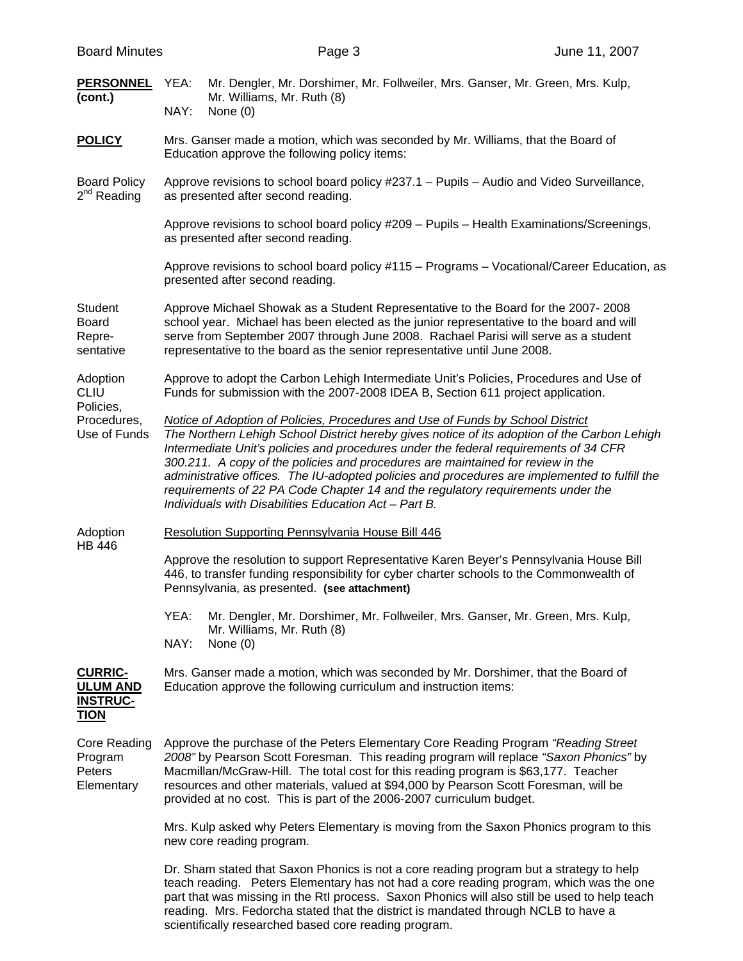|  | <b>Board Minutes</b> |
|--|----------------------|
|--|----------------------|

| <b>PERSONNEL</b> YEA:<br>(cont.)                                    | Mr. Dengler, Mr. Dorshimer, Mr. Follweiler, Mrs. Ganser, Mr. Green, Mrs. Kulp,<br>Mr. Williams, Mr. Ruth (8)<br>NAY:<br>None $(0)$                                                                                                                                                                                                                                                                                                                                                                                                                                                                     |  |  |
|---------------------------------------------------------------------|--------------------------------------------------------------------------------------------------------------------------------------------------------------------------------------------------------------------------------------------------------------------------------------------------------------------------------------------------------------------------------------------------------------------------------------------------------------------------------------------------------------------------------------------------------------------------------------------------------|--|--|
| <b>POLICY</b>                                                       | Mrs. Ganser made a motion, which was seconded by Mr. Williams, that the Board of<br>Education approve the following policy items:                                                                                                                                                                                                                                                                                                                                                                                                                                                                      |  |  |
| <b>Board Policy</b><br>$2nd$ Reading                                | Approve revisions to school board policy #237.1 - Pupils - Audio and Video Surveillance,<br>as presented after second reading.                                                                                                                                                                                                                                                                                                                                                                                                                                                                         |  |  |
|                                                                     | Approve revisions to school board policy #209 - Pupils - Health Examinations/Screenings,<br>as presented after second reading.                                                                                                                                                                                                                                                                                                                                                                                                                                                                         |  |  |
|                                                                     | Approve revisions to school board policy #115 - Programs - Vocational/Career Education, as<br>presented after second reading.                                                                                                                                                                                                                                                                                                                                                                                                                                                                          |  |  |
| Student<br><b>Board</b><br>Repre-<br>sentative                      | Approve Michael Showak as a Student Representative to the Board for the 2007-2008<br>school year. Michael has been elected as the junior representative to the board and will<br>serve from September 2007 through June 2008. Rachael Parisi will serve as a student<br>representative to the board as the senior representative until June 2008.                                                                                                                                                                                                                                                      |  |  |
| Adoption<br><b>CLIU</b>                                             | Approve to adopt the Carbon Lehigh Intermediate Unit's Policies, Procedures and Use of<br>Funds for submission with the 2007-2008 IDEA B, Section 611 project application.                                                                                                                                                                                                                                                                                                                                                                                                                             |  |  |
| Policies,<br>Procedures,<br>Use of Funds                            | Notice of Adoption of Policies, Procedures and Use of Funds by School District<br>The Northern Lehigh School District hereby gives notice of its adoption of the Carbon Lehigh<br>Intermediate Unit's policies and procedures under the federal requirements of 34 CFR<br>300.211. A copy of the policies and procedures are maintained for review in the<br>administrative offices. The IU-adopted policies and procedures are implemented to fulfill the<br>requirements of 22 PA Code Chapter 14 and the regulatory requirements under the<br>Individuals with Disabilities Education Act - Part B. |  |  |
| Adoption                                                            | Resolution Supporting Pennsylvania House Bill 446                                                                                                                                                                                                                                                                                                                                                                                                                                                                                                                                                      |  |  |
| <b>HB 446</b>                                                       | Approve the resolution to support Representative Karen Beyer's Pennsylvania House Bill<br>446, to transfer funding responsibility for cyber charter schools to the Commonwealth of<br>Pennsylvania, as presented. (see attachment)                                                                                                                                                                                                                                                                                                                                                                     |  |  |
|                                                                     | YEA: Mr. Dengler, Mr. Dorshimer, Mr. Follweiler, Mrs. Ganser, Mr. Green, Mrs. Kulp,<br>Mr. Williams, Mr. Ruth (8)<br>NAY:<br>None $(0)$                                                                                                                                                                                                                                                                                                                                                                                                                                                                |  |  |
| <b>CURRIC-</b><br><b>ULUM AND</b><br><b>INSTRUC-</b><br><b>TION</b> | Mrs. Ganser made a motion, which was seconded by Mr. Dorshimer, that the Board of<br>Education approve the following curriculum and instruction items:                                                                                                                                                                                                                                                                                                                                                                                                                                                 |  |  |
| Core Reading<br>Program<br>Peters<br>Elementary                     | Approve the purchase of the Peters Elementary Core Reading Program "Reading Street"<br>2008" by Pearson Scott Foresman. This reading program will replace "Saxon Phonics" by<br>Macmillan/McGraw-Hill. The total cost for this reading program is \$63,177. Teacher<br>resources and other materials, valued at \$94,000 by Pearson Scott Foresman, will be<br>provided at no cost. This is part of the 2006-2007 curriculum budget.                                                                                                                                                                   |  |  |
|                                                                     | Mrs. Kulp asked why Peters Elementary is moving from the Saxon Phonics program to this<br>new core reading program.                                                                                                                                                                                                                                                                                                                                                                                                                                                                                    |  |  |
|                                                                     | Dr. Sham stated that Saxon Phonics is not a core reading program but a strategy to help<br>teach reading. Peters Elementary has not had a core reading program, which was the one<br>part that was missing in the RtI process. Saxon Phonics will also still be used to help teach<br>reading. Mrs. Fedorcha stated that the district is mandated through NCLB to have a                                                                                                                                                                                                                               |  |  |

scientifically researched based core reading program.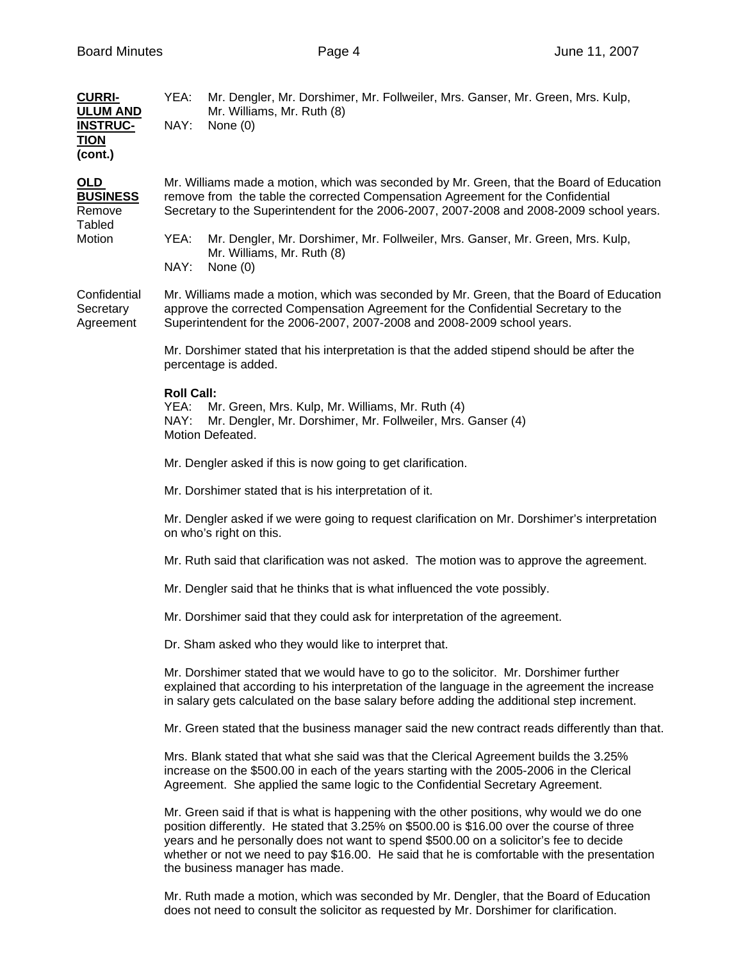| <b>CURRI-</b><br><b>ULUM AND</b><br><u>INSTRUC-</u><br><b>TION</b><br>(cont.) | YEA:<br>Mr. Dengler, Mr. Dorshimer, Mr. Follweiler, Mrs. Ganser, Mr. Green, Mrs. Kulp,<br>Mr. Williams, Mr. Ruth (8)<br>NAY:<br>None $(0)$                                                                                                                                                                                                                                                                         |  |  |  |
|-------------------------------------------------------------------------------|--------------------------------------------------------------------------------------------------------------------------------------------------------------------------------------------------------------------------------------------------------------------------------------------------------------------------------------------------------------------------------------------------------------------|--|--|--|
| <u>OLD</u><br><b>BUSINESS</b><br>Remove<br>Tabled<br>Motion                   | Mr. Williams made a motion, which was seconded by Mr. Green, that the Board of Education<br>remove from the table the corrected Compensation Agreement for the Confidential<br>Secretary to the Superintendent for the 2006-2007, 2007-2008 and 2008-2009 school years.                                                                                                                                            |  |  |  |
|                                                                               | YEA:<br>Mr. Dengler, Mr. Dorshimer, Mr. Follweiler, Mrs. Ganser, Mr. Green, Mrs. Kulp,<br>Mr. Williams, Mr. Ruth (8)<br>NAY:<br>None $(0)$                                                                                                                                                                                                                                                                         |  |  |  |
| Confidential<br>Secretary<br>Agreement                                        | Mr. Williams made a motion, which was seconded by Mr. Green, that the Board of Education<br>approve the corrected Compensation Agreement for the Confidential Secretary to the<br>Superintendent for the 2006-2007, 2007-2008 and 2008-2009 school years.                                                                                                                                                          |  |  |  |
|                                                                               | Mr. Dorshimer stated that his interpretation is that the added stipend should be after the<br>percentage is added.                                                                                                                                                                                                                                                                                                 |  |  |  |
|                                                                               | <b>Roll Call:</b><br>YEA:<br>Mr. Green, Mrs. Kulp, Mr. Williams, Mr. Ruth (4)<br>NAY:<br>Mr. Dengler, Mr. Dorshimer, Mr. Follweiler, Mrs. Ganser (4)<br>Motion Defeated.                                                                                                                                                                                                                                           |  |  |  |
|                                                                               | Mr. Dengler asked if this is now going to get clarification.                                                                                                                                                                                                                                                                                                                                                       |  |  |  |
|                                                                               | Mr. Dorshimer stated that is his interpretation of it.                                                                                                                                                                                                                                                                                                                                                             |  |  |  |
|                                                                               | Mr. Dengler asked if we were going to request clarification on Mr. Dorshimer's interpretation<br>on who's right on this.                                                                                                                                                                                                                                                                                           |  |  |  |
|                                                                               | Mr. Ruth said that clarification was not asked. The motion was to approve the agreement.                                                                                                                                                                                                                                                                                                                           |  |  |  |
|                                                                               | Mr. Dengler said that he thinks that is what influenced the vote possibly.                                                                                                                                                                                                                                                                                                                                         |  |  |  |
|                                                                               | Mr. Dorshimer said that they could ask for interpretation of the agreement.                                                                                                                                                                                                                                                                                                                                        |  |  |  |
|                                                                               | Dr. Sham asked who they would like to interpret that.                                                                                                                                                                                                                                                                                                                                                              |  |  |  |
|                                                                               | Mr. Dorshimer stated that we would have to go to the solicitor. Mr. Dorshimer further<br>explained that according to his interpretation of the language in the agreement the increase<br>in salary gets calculated on the base salary before adding the additional step increment.                                                                                                                                 |  |  |  |
|                                                                               | Mr. Green stated that the business manager said the new contract reads differently than that.                                                                                                                                                                                                                                                                                                                      |  |  |  |
|                                                                               | Mrs. Blank stated that what she said was that the Clerical Agreement builds the 3.25%<br>increase on the \$500.00 in each of the years starting with the 2005-2006 in the Clerical<br>Agreement. She applied the same logic to the Confidential Secretary Agreement.                                                                                                                                               |  |  |  |
|                                                                               | Mr. Green said if that is what is happening with the other positions, why would we do one<br>position differently. He stated that 3.25% on \$500.00 is \$16.00 over the course of three<br>years and he personally does not want to spend \$500.00 on a solicitor's fee to decide<br>whether or not we need to pay \$16.00. He said that he is comfortable with the presentation<br>the business manager has made. |  |  |  |

Mr. Ruth made a motion, which was seconded by Mr. Dengler, that the Board of Education does not need to consult the solicitor as requested by Mr. Dorshimer for clarification.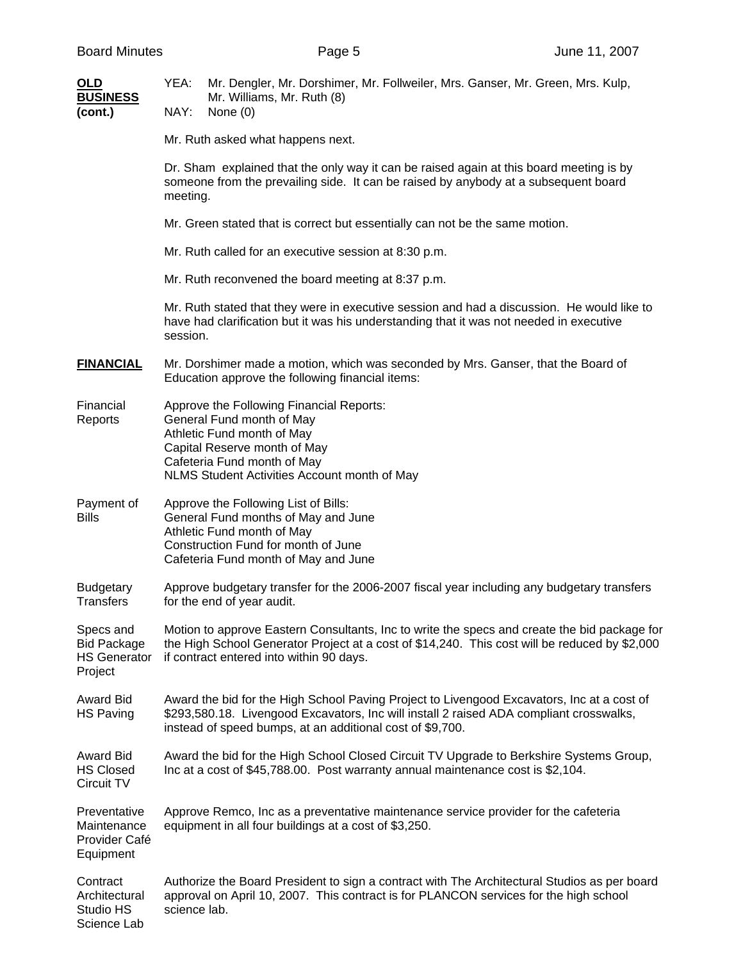| OLD<br><b>BUSINESS</b><br>(cont.)                                 | YEA:<br>Mr. Dengler, Mr. Dorshimer, Mr. Follweiler, Mrs. Ganser, Mr. Green, Mrs. Kulp,<br>Mr. Williams, Mr. Ruth (8)<br>NAY:<br>None $(0)$                                                                                                         |  |  |  |
|-------------------------------------------------------------------|----------------------------------------------------------------------------------------------------------------------------------------------------------------------------------------------------------------------------------------------------|--|--|--|
|                                                                   | Mr. Ruth asked what happens next.                                                                                                                                                                                                                  |  |  |  |
|                                                                   | Dr. Sham explained that the only way it can be raised again at this board meeting is by<br>someone from the prevailing side. It can be raised by anybody at a subsequent board<br>meeting.                                                         |  |  |  |
|                                                                   | Mr. Green stated that is correct but essentially can not be the same motion.                                                                                                                                                                       |  |  |  |
|                                                                   | Mr. Ruth called for an executive session at 8:30 p.m.                                                                                                                                                                                              |  |  |  |
|                                                                   | Mr. Ruth reconvened the board meeting at 8:37 p.m.                                                                                                                                                                                                 |  |  |  |
|                                                                   | Mr. Ruth stated that they were in executive session and had a discussion. He would like to<br>have had clarification but it was his understanding that it was not needed in executive<br>session.                                                  |  |  |  |
| <b>FINANCIAL</b>                                                  | Mr. Dorshimer made a motion, which was seconded by Mrs. Ganser, that the Board of<br>Education approve the following financial items:                                                                                                              |  |  |  |
| Financial<br>Reports                                              | Approve the Following Financial Reports:<br>General Fund month of May<br>Athletic Fund month of May<br>Capital Reserve month of May<br>Cafeteria Fund month of May<br>NLMS Student Activities Account month of May                                 |  |  |  |
| Payment of<br><b>Bills</b>                                        | Approve the Following List of Bills:<br>General Fund months of May and June<br>Athletic Fund month of May<br>Construction Fund for month of June<br>Cafeteria Fund month of May and June                                                           |  |  |  |
| <b>Budgetary</b><br><b>Transfers</b>                              | Approve budgetary transfer for the 2006-2007 fiscal year including any budgetary transfers<br>for the end of year audit.                                                                                                                           |  |  |  |
| Specs and<br><b>Bid Package</b><br><b>HS Generator</b><br>Project | Motion to approve Eastern Consultants, Inc to write the specs and create the bid package for<br>the High School Generator Project at a cost of \$14,240. This cost will be reduced by \$2,000<br>if contract entered into within 90 days.          |  |  |  |
| <b>Award Bid</b><br><b>HS Paving</b>                              | Award the bid for the High School Paving Project to Livengood Excavators, Inc at a cost of<br>\$293,580.18. Livengood Excavators, Inc will install 2 raised ADA compliant crosswalks,<br>instead of speed bumps, at an additional cost of \$9,700. |  |  |  |
| Award Bid<br><b>HS Closed</b><br>Circuit TV                       | Award the bid for the High School Closed Circuit TV Upgrade to Berkshire Systems Group,<br>Inc at a cost of \$45,788.00. Post warranty annual maintenance cost is \$2,104.                                                                         |  |  |  |
| Preventative<br>Maintenance<br>Provider Café<br>Equipment         | Approve Remco, Inc as a preventative maintenance service provider for the cafeteria<br>equipment in all four buildings at a cost of \$3,250.                                                                                                       |  |  |  |
| Contract<br>Architectural<br>Studio HS<br>Science Lab             | Authorize the Board President to sign a contract with The Architectural Studios as per board<br>approval on April 10, 2007. This contract is for PLANCON services for the high school<br>science lab.                                              |  |  |  |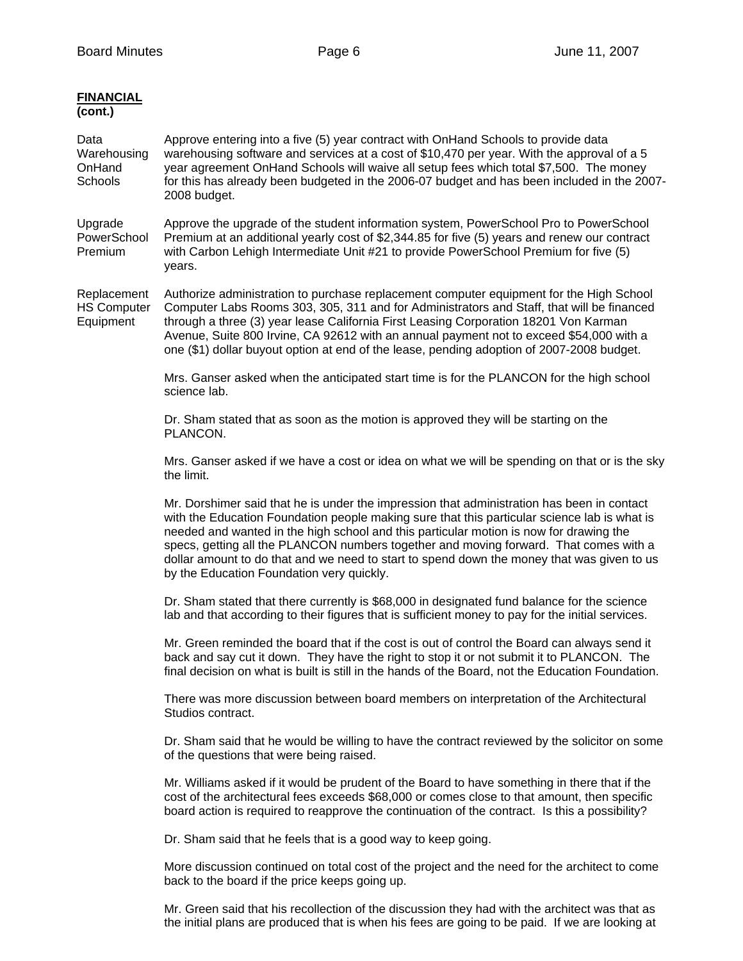| <b>FINANCIAL</b><br>(cont.)                    |                                                                                                                                                                                                                                                                                                                                                                                                                                                                                                                          |
|------------------------------------------------|--------------------------------------------------------------------------------------------------------------------------------------------------------------------------------------------------------------------------------------------------------------------------------------------------------------------------------------------------------------------------------------------------------------------------------------------------------------------------------------------------------------------------|
| Data<br>Warehousing<br>OnHand<br>Schools       | Approve entering into a five (5) year contract with OnHand Schools to provide data<br>warehousing software and services at a cost of \$10,470 per year. With the approval of a 5<br>year agreement OnHand Schools will waive all setup fees which total \$7,500. The money<br>for this has already been budgeted in the 2006-07 budget and has been included in the 2007-<br>2008 budget.                                                                                                                                |
| Upgrade<br>PowerSchool<br>Premium              | Approve the upgrade of the student information system, PowerSchool Pro to PowerSchool<br>Premium at an additional yearly cost of \$2,344.85 for five (5) years and renew our contract<br>with Carbon Lehigh Intermediate Unit #21 to provide PowerSchool Premium for five (5)<br>years.                                                                                                                                                                                                                                  |
| Replacement<br><b>HS Computer</b><br>Equipment | Authorize administration to purchase replacement computer equipment for the High School<br>Computer Labs Rooms 303, 305, 311 and for Administrators and Staff, that will be financed<br>through a three (3) year lease California First Leasing Corporation 18201 Von Karman<br>Avenue, Suite 800 Irvine, CA 92612 with an annual payment not to exceed \$54,000 with a<br>one (\$1) dollar buyout option at end of the lease, pending adoption of 2007-2008 budget.                                                     |
|                                                | Mrs. Ganser asked when the anticipated start time is for the PLANCON for the high school<br>science lab.                                                                                                                                                                                                                                                                                                                                                                                                                 |
|                                                | Dr. Sham stated that as soon as the motion is approved they will be starting on the<br>PLANCON.                                                                                                                                                                                                                                                                                                                                                                                                                          |
|                                                | Mrs. Ganser asked if we have a cost or idea on what we will be spending on that or is the sky<br>the limit.                                                                                                                                                                                                                                                                                                                                                                                                              |
|                                                | Mr. Dorshimer said that he is under the impression that administration has been in contact<br>with the Education Foundation people making sure that this particular science lab is what is<br>needed and wanted in the high school and this particular motion is now for drawing the<br>specs, getting all the PLANCON numbers together and moving forward. That comes with a<br>dollar amount to do that and we need to start to spend down the money that was given to us<br>by the Education Foundation very quickly. |
|                                                | Dr. Sham stated that there currently is \$68,000 in designated fund balance for the science<br>lab and that according to their figures that is sufficient money to pay for the initial services.                                                                                                                                                                                                                                                                                                                         |
|                                                | Mr. Green reminded the board that if the cost is out of control the Board can always send it<br>back and say cut it down. They have the right to stop it or not submit it to PLANCON. The<br>final decision on what is built is still in the hands of the Board, not the Education Foundation.                                                                                                                                                                                                                           |
|                                                | There was more discussion between board members on interpretation of the Architectural<br>Studios contract.                                                                                                                                                                                                                                                                                                                                                                                                              |
|                                                | Dr. Sham said that he would be willing to have the contract reviewed by the solicitor on some<br>of the questions that were being raised.                                                                                                                                                                                                                                                                                                                                                                                |
|                                                | Mr. Williams asked if it would be prudent of the Board to have something in there that if the<br>cost of the architectural fees exceeds \$68,000 or comes close to that amount, then specific<br>board action is required to reapprove the continuation of the contract. Is this a possibility?                                                                                                                                                                                                                          |
|                                                | Dr. Sham said that he feels that is a good way to keep going.                                                                                                                                                                                                                                                                                                                                                                                                                                                            |
|                                                | More discussion continued on total cost of the project and the need for the architect to come<br>back to the board if the price keeps going up.                                                                                                                                                                                                                                                                                                                                                                          |
|                                                |                                                                                                                                                                                                                                                                                                                                                                                                                                                                                                                          |

 Mr. Green said that his recollection of the discussion they had with the architect was that as the initial plans are produced that is when his fees are going to be paid. If we are looking at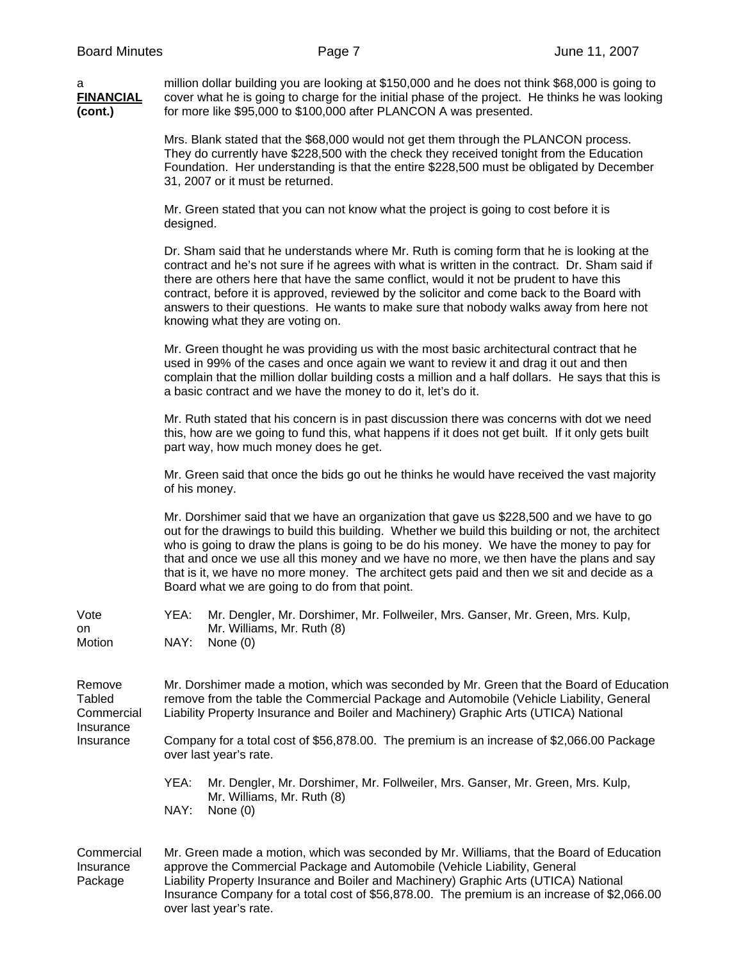a million dollar building you are looking at \$150,000 and he does not think \$68,000 is going to **FINANCIAL** cover what he is going to charge for the initial phase of the project. He thinks he was looking **(cont.)** for more like \$95,000 to \$100,000 after PLANCON A was presented. Mrs. Blank stated that the \$68,000 would not get them through the PLANCON process. They do currently have \$228,500 with the check they received tonight from the Education Foundation. Her understanding is that the entire \$228,500 must be obligated by December 31, 2007 or it must be returned. Mr. Green stated that you can not know what the project is going to cost before it is designed. Dr. Sham said that he understands where Mr. Ruth is coming form that he is looking at the contract and he's not sure if he agrees with what is written in the contract. Dr. Sham said if there are others here that have the same conflict, would it not be prudent to have this contract, before it is approved, reviewed by the solicitor and come back to the Board with answers to their questions. He wants to make sure that nobody walks away from here not knowing what they are voting on.

> Mr. Green thought he was providing us with the most basic architectural contract that he used in 99% of the cases and once again we want to review it and drag it out and then complain that the million dollar building costs a million and a half dollars. He says that this is a basic contract and we have the money to do it, let's do it.

Mr. Ruth stated that his concern is in past discussion there was concerns with dot we need this, how are we going to fund this, what happens if it does not get built. If it only gets built part way, how much money does he get.

Mr. Green said that once the bids go out he thinks he would have received the vast majority of his money.

Mr. Dorshimer said that we have an organization that gave us \$228,500 and we have to go out for the drawings to build this building. Whether we build this building or not, the architect who is going to draw the plans is going to be do his money. We have the money to pay for that and once we use all this money and we have no more, we then have the plans and say that is it, we have no more money. The architect gets paid and then we sit and decide as a Board what we are going to do from that point.

| Vote   | YEA: | Mr. Dengler, Mr. Dorshimer, Mr. Follweiler, Mrs. Ganser, Mr. Green, Mrs. Kulp, |
|--------|------|--------------------------------------------------------------------------------|
| on     |      | Mr. Williams, Mr. Ruth (8)                                                     |
| Motion |      | NAY: None (0)                                                                  |

Remove Mr. Dorshimer made a motion, which was seconded by Mr. Green that the Board of Education Tabled remove from the table the Commercial Package and Automobile (Vehicle Liability, General<br>Commercial Liability Property Insurance and Boiler and Machinery) Graphic Arts (UTICA) National Liability Property Insurance and Boiler and Machinery) Graphic Arts (UTICA) National **Insurance** 

Insurance Company for a total cost of \$56,878.00. The premium is an increase of \$2,066.00 Package over last year's rate.

> YEA: Mr. Dengler, Mr. Dorshimer, Mr. Follweiler, Mrs. Ganser, Mr. Green, Mrs. Kulp, Mr. Williams, Mr. Ruth (8) NAY: None (0)

Commercial Mr. Green made a motion, which was seconded by Mr. Williams, that the Board of Education Insurance approve the Commercial Package and Automobile (Vehicle Liability, General Package Liability Property Insurance and Boiler and Machinery) Graphic Arts (UTICA) National Insurance Company for a total cost of \$56,878.00. The premium is an increase of \$2,066.00 over last year's rate.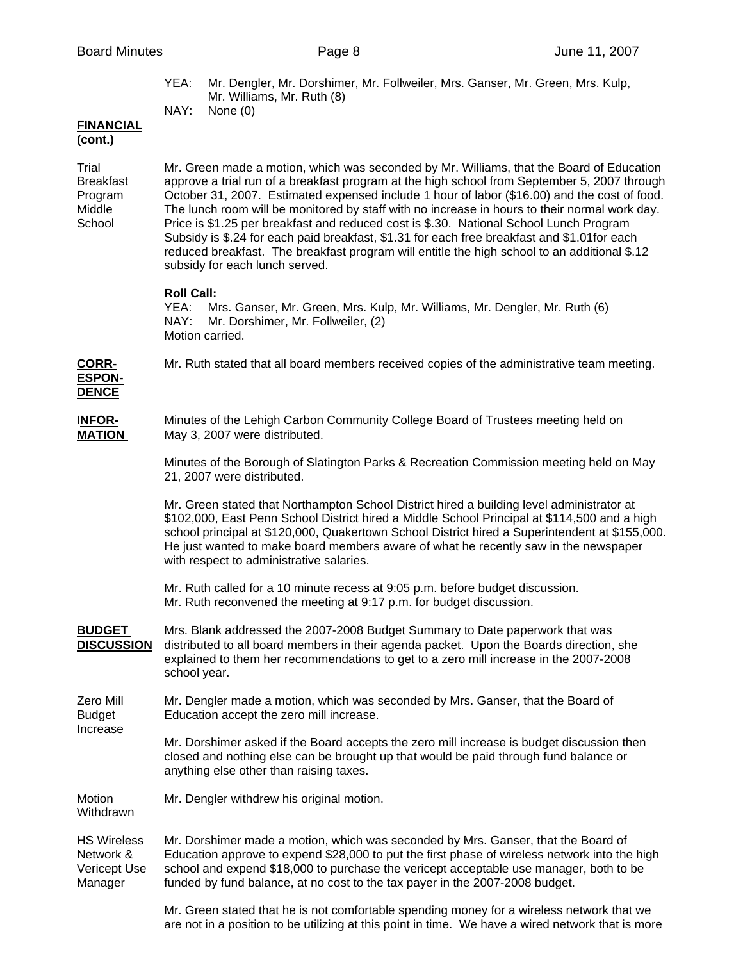YEA: Mr. Dengler, Mr. Dorshimer, Mr. Follweiler, Mrs. Ganser, Mr. Green, Mrs. Kulp, Mr. Williams, Mr. Ruth (8) NAY: None (0)

# **FINANCIAL**

**(cont.)** 

Trial Mr. Green made a motion, which was seconded by Mr. Williams, that the Board of Education Breakfast approve a trial run of a breakfast program at the high school from September 5, 2007 through Program October 31, 2007. Estimated expensed include 1 hour of labor (\$16.00) and the cost of food. Middle The lunch room will be monitored by staff with no increase in hours to their normal work day. School Price is \$1.25 per breakfast and reduced cost is \$.30. National School Lunch Program Subsidy is \$.24 for each paid breakfast, \$1.31 for each free breakfast and \$1.01for each reduced breakfast. The breakfast program will entitle the high school to an additional \$.12 subsidy for each lunch served.

# **Roll Call:**

YEA: Mrs. Ganser, Mr. Green, Mrs. Kulp, Mr. Williams, Mr. Dengler, Mr. Ruth (6) NAY: Mr. Dorshimer, Mr. Follweiler, (2) Motion carried.

**CORR-** Mr. Ruth stated that all board members received copies of the administrative team meeting.

#### **ESPON-DENCE**

I**NFOR-** Minutes of the Lehigh Carbon Community College Board of Trustees meeting held on **MATION** May 3, 2007 were distributed.

> Minutes of the Borough of Slatington Parks & Recreation Commission meeting held on May 21, 2007 were distributed.

Mr. Green stated that Northampton School District hired a building level administrator at \$102,000, East Penn School District hired a Middle School Principal at \$114,500 and a high school principal at \$120,000, Quakertown School District hired a Superintendent at \$155,000. He just wanted to make board members aware of what he recently saw in the newspaper with respect to administrative salaries.

Mr. Ruth called for a 10 minute recess at 9:05 p.m. before budget discussion. Mr. Ruth reconvened the meeting at 9:17 p.m. for budget discussion.

**BUDGET** Mrs. Blank addressed the 2007-2008 Budget Summary to Date paperwork that was **DISCUSSION** distributed to all board members in their agenda packet. Upon the Boards direction, she explained to them her recommendations to get to a zero mill increase in the 2007-2008 school year.

Zero Mill Mr. Dengler made a motion, which was seconded by Mrs. Ganser, that the Board of Budget Education accept the zero mill increase. Increase

> Mr. Dorshimer asked if the Board accepts the zero mill increase is budget discussion then closed and nothing else can be brought up that would be paid through fund balance or anything else other than raising taxes.

Motion Mr. Dengler withdrew his original motion.

Withdrawn

HS Wireless Mr. Dorshimer made a motion, which was seconded by Mrs. Ganser, that the Board of Network & Education approve to expend \$28,000 to put the first phase of wireless network into the high Vericept Use school and expend \$18,000 to purchase the vericept acceptable use manager, both to be Manager funded by fund balance, at no cost to the tax payer in the 2007-2008 budget.

> Mr. Green stated that he is not comfortable spending money for a wireless network that we are not in a position to be utilizing at this point in time. We have a wired network that is more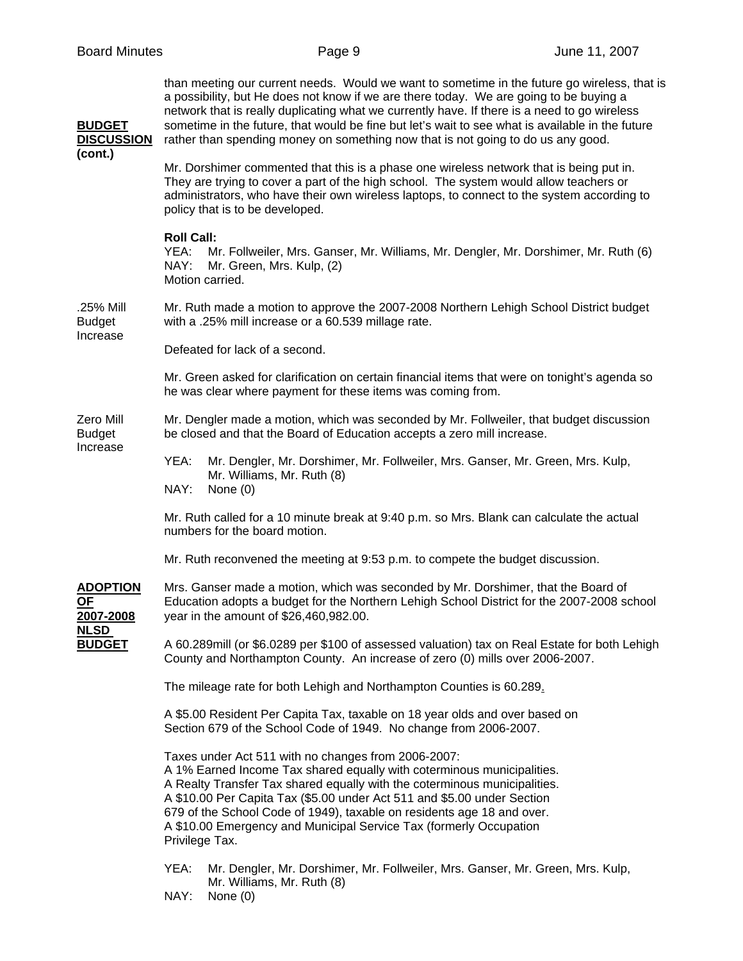| <b>BUDGET</b><br><b>DISCUSSION</b><br>(cont.)                      | than meeting our current needs. Would we want to sometime in the future go wireless, that is<br>a possibility, but He does not know if we are there today. We are going to be buying a<br>network that is really duplicating what we currently have. If there is a need to go wireless<br>sometime in the future, that would be fine but let's wait to see what is available in the future<br>rather than spending money on something now that is not going to do us any good. |  |  |
|--------------------------------------------------------------------|--------------------------------------------------------------------------------------------------------------------------------------------------------------------------------------------------------------------------------------------------------------------------------------------------------------------------------------------------------------------------------------------------------------------------------------------------------------------------------|--|--|
|                                                                    | Mr. Dorshimer commented that this is a phase one wireless network that is being put in.<br>They are trying to cover a part of the high school. The system would allow teachers or<br>administrators, who have their own wireless laptops, to connect to the system according to<br>policy that is to be developed.                                                                                                                                                             |  |  |
|                                                                    | <b>Roll Call:</b><br>YEA:<br>Mr. Follweiler, Mrs. Ganser, Mr. Williams, Mr. Dengler, Mr. Dorshimer, Mr. Ruth (6)<br>NAY:<br>Mr. Green, Mrs. Kulp, (2)<br>Motion carried.                                                                                                                                                                                                                                                                                                       |  |  |
| .25% Mill<br><b>Budget</b><br>Increase                             | Mr. Ruth made a motion to approve the 2007-2008 Northern Lehigh School District budget<br>with a .25% mill increase or a 60.539 millage rate.                                                                                                                                                                                                                                                                                                                                  |  |  |
|                                                                    | Defeated for lack of a second.                                                                                                                                                                                                                                                                                                                                                                                                                                                 |  |  |
|                                                                    | Mr. Green asked for clarification on certain financial items that were on tonight's agenda so<br>he was clear where payment for these items was coming from.                                                                                                                                                                                                                                                                                                                   |  |  |
| Zero Mill<br><b>Budget</b><br>Increase                             | Mr. Dengler made a motion, which was seconded by Mr. Follweiler, that budget discussion<br>be closed and that the Board of Education accepts a zero mill increase.                                                                                                                                                                                                                                                                                                             |  |  |
|                                                                    | YEA:<br>Mr. Dengler, Mr. Dorshimer, Mr. Follweiler, Mrs. Ganser, Mr. Green, Mrs. Kulp,<br>Mr. Williams, Mr. Ruth (8)<br>NAY:<br>None $(0)$                                                                                                                                                                                                                                                                                                                                     |  |  |
|                                                                    | Mr. Ruth called for a 10 minute break at 9:40 p.m. so Mrs. Blank can calculate the actual<br>numbers for the board motion.                                                                                                                                                                                                                                                                                                                                                     |  |  |
|                                                                    | Mr. Ruth reconvened the meeting at 9:53 p.m. to compete the budget discussion.                                                                                                                                                                                                                                                                                                                                                                                                 |  |  |
| <b>ADOPTION</b><br>ΟF<br>2007-2008<br><b>NLSD</b><br><b>BUDGET</b> | Mrs. Ganser made a motion, which was seconded by Mr. Dorshimer, that the Board of<br>Education adopts a budget for the Northern Lehigh School District for the 2007-2008 school<br>year in the amount of \$26,460,982.00.                                                                                                                                                                                                                                                      |  |  |
|                                                                    | A 60.289mill (or \$6.0289 per \$100 of assessed valuation) tax on Real Estate for both Lehigh<br>County and Northampton County. An increase of zero (0) mills over 2006-2007.                                                                                                                                                                                                                                                                                                  |  |  |
|                                                                    | The mileage rate for both Lehigh and Northampton Counties is 60.289.                                                                                                                                                                                                                                                                                                                                                                                                           |  |  |
|                                                                    | A \$5.00 Resident Per Capita Tax, taxable on 18 year olds and over based on<br>Section 679 of the School Code of 1949. No change from 2006-2007.                                                                                                                                                                                                                                                                                                                               |  |  |
|                                                                    | Taxes under Act 511 with no changes from 2006-2007:<br>A 1% Earned Income Tax shared equally with coterminous municipalities.<br>A Realty Transfer Tax shared equally with the coterminous municipalities.<br>A \$10.00 Per Capita Tax (\$5.00 under Act 511 and \$5.00 under Section<br>679 of the School Code of 1949), taxable on residents age 18 and over.<br>A \$10.00 Emergency and Municipal Service Tax (formerly Occupation<br>Privilege Tax.                        |  |  |
|                                                                    | YEA:<br>Mr. Dengler, Mr. Dorshimer, Mr. Follweiler, Mrs. Ganser, Mr. Green, Mrs. Kulp,<br>Mr. Williams, Mr. Ruth (8)<br>NAY:<br>None $(0)$                                                                                                                                                                                                                                                                                                                                     |  |  |